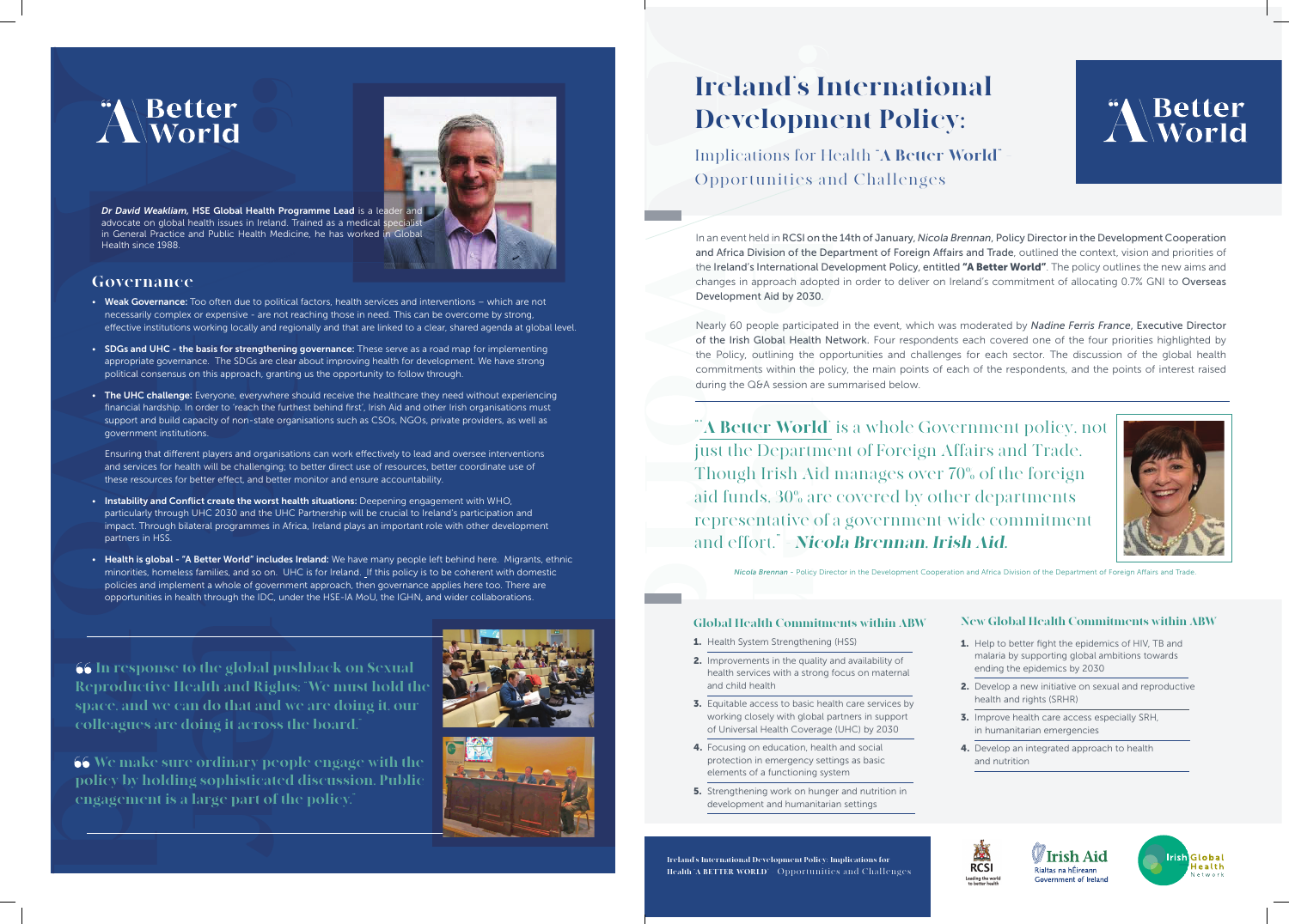### Governance

- Weak Governance: Too often due to political factors, health services and interventions which are not necessarily complex or expensive - are not reaching those in need. This can be overcome by strong, effective institutions working locally and regionally and that are linked to a clear, shared agenda at global level.
- SDGs and UHC the basis for strengthening governance: These serve as a road map for implementing appropriate governance. The SDGs are clear about improving health for development. We have strong political consensus on this approach, granting us the opportunity to follow through.
- The UHC challenge: Everyone, everywhere should receive the healthcare they need without experiencing financial hardship. In order to 'reach the furthest behind first', Irish Aid and other Irish organisations must support and build capacity of non-state organisations such as CSOs, NGOs, private providers, as well as government institutions.

Ensuring that different players and organisations can work effectively to lead and oversee interventions and services for health will be challenging; to better direct use of resources, better coordinate use of these resources for better effect, and better monitor and ensure accountability.

- Instability and Conflict create the worst health situations: Deepening engagement with WHO, particularly through UHC 2030 and the UHC Partnership will be crucial to Ireland's participation and impact. Through bilateral programmes in Africa, Ireland plays an important role with other development partners in HSS.
- Health is global "A Better World" includes Ireland: We have many people left behind here. Migrants, ethnic minorities, homeless families, and so on. UHC is for Ireland. If this policy is to be coherent with domestic policies and implement a whole of government approach, then governance applies here too. There are opportunities in health through the IDC, under the HSE-IA MoU, the IGHN, and wider collaborations.





*Dr David Weakliam, HSE Global Health Programme Lead is a lead* advocate on global health issues in Ireland. Trained as a medical spe in General Practice and Public Health Medicine, he has worked in Global Health since 1988.

- 1. Health System Strengthening (HSS)
- **2.** Improvements in the quality and availability of health services with a strong focus on maternal and child health
- **3.** Equitable access to basic health care services by working closely with global partners in support of Universal Health Coverage (UHC) by 2030
- **4.** Focusing on education, health and social protection in emergency settings as basic elements of a functioning system
- **5.** Strengthening work on hunger and nutrition in development and humanitarian settings
- 1. Help to better fight the epidemics of HIV, TB and malaria by supporting global ambitions towards ending the epidemics by 2030
- 2. Develop a new initiative on sexual and reproductive health and rights (SRHR)
- **3.** Improve health care access especially SRH, in humanitarian emergencies
- 4. Develop an integrated approach to health and nutrition







 In response to the global pushback on Sexual Reproductive Health and Rights: "We must hold the space, and we can do that and we are doing it, our colleagues are doing it across the board."

 We make sure ordinary people engage with the policy by holding sophisticated discussion. Public engagement is a large part of the policy."





In an event held in RCSI on the 14th of January, *Nicola Brennan*, Policy Director in the Development Cooperation and Africa Division of the Department of Foreign Affairs and Trade, outlined the context, vision and priorities of the Ireland's International Development Policy, entitled "A Better World". The policy outlines the new aims and changes in approach adopted in order to deliver on Ireland's commitment of allocating 0.7% GNI to Overseas Development Aid by 2030.

Nearly 60 people participated in the event, which was moderated by *Nadine Ferris France*, Executive Director of the Irish Global Health Network. Four respondents each covered one of the four priorities highlighted by the Policy, outlining the opportunities and challenges for each sector. The discussion of the global health commitments within the policy, the main points of each of the respondents, and the points of interest raised during the Q&A session are summarised below.

# Ireland's International Development Policy:

Implications for Health "A Better World" – Opportunities and Challenges

### Global Health Commitments within ABW

#### New Global Health Commitments within ABW

"'A Better World' is a whole Government policy, not just the Department of Foreign Affairs and Trade. Though Irish Aid manages over 70% of the foreign aid funds, 30% are covered by other departments representative of a government-wide commitment and effort." - Nicola Brennan, Irish Aid.

*Nicola Brennan - Policy Director in the Development Cooperation and Africa Division of the Department of Foreign Affairs and Trade* 

Ireland's International Development Policy: Implications for Health "A BETTER WORLD" – Opportunities and Challenges